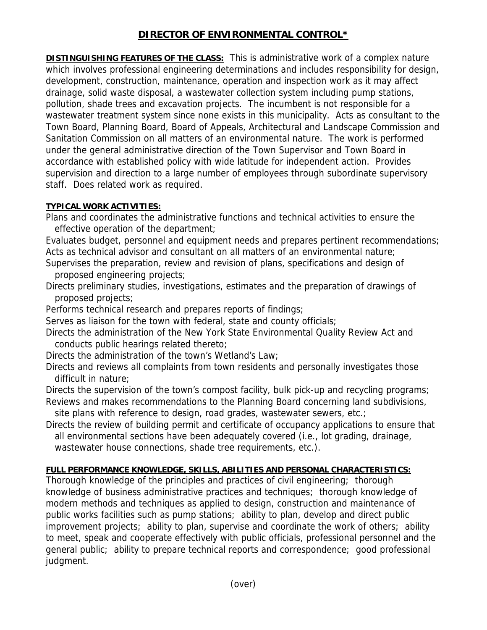## **DIRECTOR OF ENVIRONMENTAL CONTROL\***

**DISTINGUISHING FEATURES OF THE CLASS:** This is administrative work of a complex nature which involves professional engineering determinations and includes responsibility for design, development, construction, maintenance, operation and inspection work as it may affect drainage, solid waste disposal, a wastewater collection system including pump stations, pollution, shade trees and excavation projects. The incumbent is not responsible for a wastewater treatment system since none exists in this municipality. Acts as consultant to the Town Board, Planning Board, Board of Appeals, Architectural and Landscape Commission and Sanitation Commission on all matters of an environmental nature. The work is performed under the general administrative direction of the Town Supervisor and Town Board in accordance with established policy with wide latitude for independent action. Provides supervision and direction to a large number of employees through subordinate supervisory staff. Does related work as required.

## **TYPICAL WORK ACTIVITIES:**

Plans and coordinates the administrative functions and technical activities to ensure the effective operation of the department;

Evaluates budget, personnel and equipment needs and prepares pertinent recommendations; Acts as technical advisor and consultant on all matters of an environmental nature;

- Supervises the preparation, review and revision of plans, specifications and design of proposed engineering projects;
- Directs preliminary studies, investigations, estimates and the preparation of drawings of proposed projects;

Performs technical research and prepares reports of findings;

Serves as liaison for the town with federal, state and county officials;

- Directs the administration of the New York State Environmental Quality Review Act and conducts public hearings related thereto;
- Directs the administration of the town's Wetland's Law;
- Directs and reviews all complaints from town residents and personally investigates those difficult in nature;

Directs the supervision of the town's compost facility, bulk pick-up and recycling programs; Reviews and makes recommendations to the Planning Board concerning land subdivisions,

site plans with reference to design, road grades, wastewater sewers, etc.;

Directs the review of building permit and certificate of occupancy applications to ensure that all environmental sections have been adequately covered (i.e., lot grading, drainage, wastewater house connections, shade tree requirements, etc.).

## **FULL PERFORMANCE KNOWLEDGE, SKILLS, ABILITIES AND PERSONAL CHARACTERISTICS:**

Thorough knowledge of the principles and practices of civil engineering; thorough knowledge of business administrative practices and techniques; thorough knowledge of modern methods and techniques as applied to design, construction and maintenance of public works facilities such as pump stations; ability to plan, develop and direct public improvement projects; ability to plan, supervise and coordinate the work of others; ability to meet, speak and cooperate effectively with public officials, professional personnel and the general public; ability to prepare technical reports and correspondence; good professional judgment.